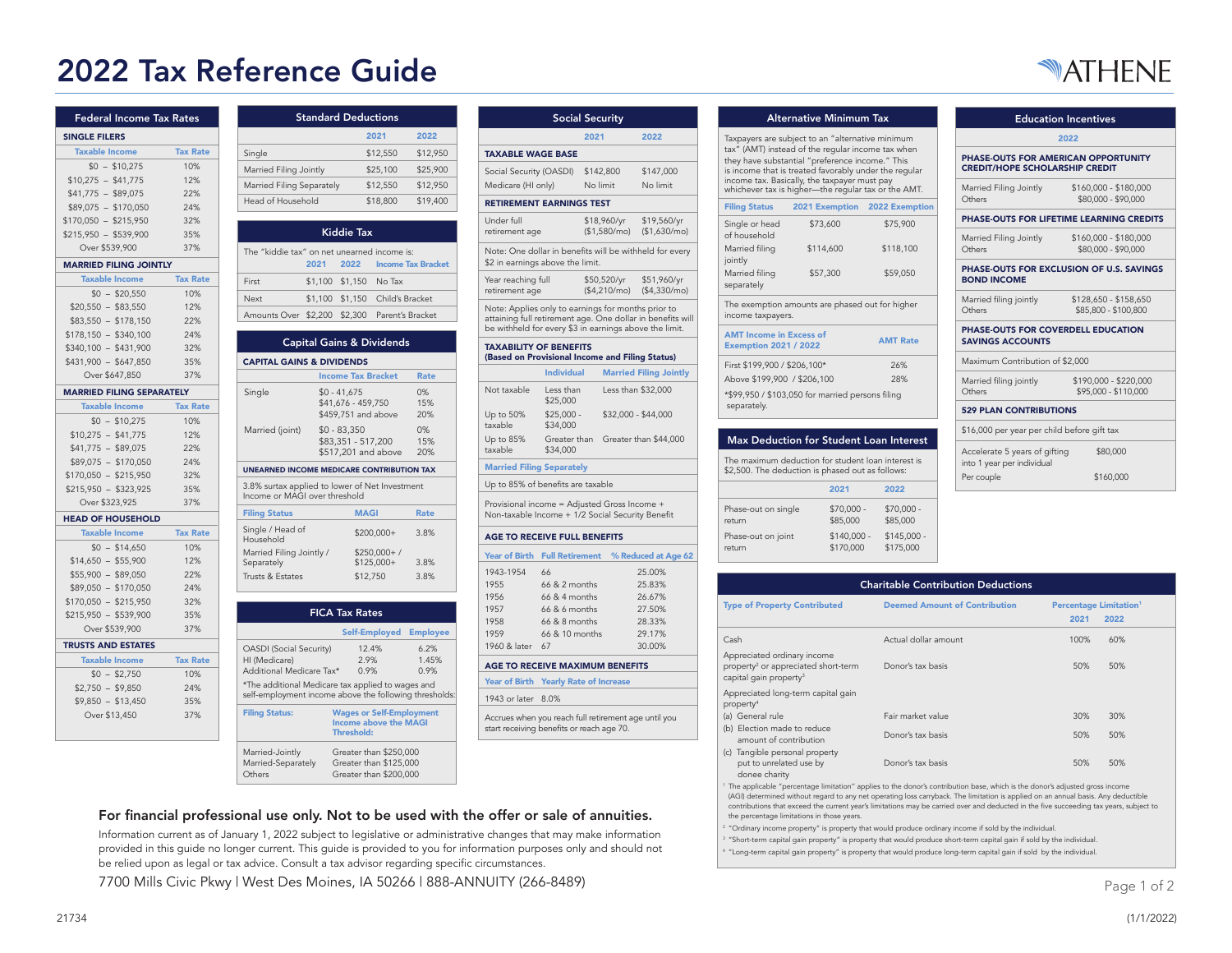# 2022 Tax Reference Guide



| Federal Income Tax Rates         |                 |
|----------------------------------|-----------------|
| <b>SINGLE FILERS</b>             |                 |
| <b>Taxable Income</b>            | <b>Tax Rate</b> |
| $$0 - $10,275$                   | 10%             |
| $$10,275 - $41,775$              | 12%             |
| $$41,775 - $89,075$              | 22%             |
| $$89,075 - $170,050$             | 24%             |
| $$170,050 - $215,950$            | 32%             |
| $$215,950 - $539,900$            | 35%             |
| Over \$539,900                   | 37%             |
| <b>MARRIED FILING JOINTLY</b>    |                 |
| <b>Taxable Income</b>            | <b>Tax Rate</b> |
| $$0 - $20,550$                   | 10%             |
| $$20,550 - $83,550$              | 12%             |
| $$83,550 - $178,150$             | 22%             |
| $$178.150 - $340.100$            | 24%             |
| $$340,100 - $431,900$            | 32%             |
| $$431,900 - $647,850$            | 35%             |
| Over \$647.850                   | 37%             |
| <b>MARRIED FILING SEPARATELY</b> |                 |
| <b>Taxable Income</b>            | <b>Tax Rate</b> |
| $$0 - $10.275$                   | 10%             |
| $$10,275 - $41,775$              | 12%             |
| $$41,775 - $89,075$              | 22%             |
| $$89,075 - $170,050$             | 24%             |
| $$170,050 - $215,950$            | 32%             |
| $$215,950 - $323,925$            | 35%             |
| Over \$323,925                   | 37%             |
| <b>HEAD OF HOUSEHOLD</b>         |                 |
| <b>Taxable Income</b>            | <b>Tax Rate</b> |
| $$0 - $14.650$                   | 10%             |
| $$14,650 - $55,900$              | 12%             |
| $$55,900 - $89,050$              | 22%             |
| $$89.050 - $170.050$             | 24%             |
| $$170,050 - $215,950$            | 32%             |
| $$215,950 - $539,900$            | 35%             |
| Over \$539,900                   | 37%             |
| <b>TRUSTS AND ESTATES</b>        |                 |
| <b>Taxable Income</b>            | <b>Tax Rate</b> |
| $$0 - $2,750$                    | 10%             |
| $$2,750 - $9,850$                | 24%             |
| $$9,850 - $13,450$               | 35%             |
| Over \$13,450                    | 37%             |
|                                  |                 |

|                                                                                                             |         | <b>Standard Deductions</b>                                 |                                         |                           |
|-------------------------------------------------------------------------------------------------------------|---------|------------------------------------------------------------|-----------------------------------------|---------------------------|
|                                                                                                             |         |                                                            | 2021                                    | 2022                      |
| Single                                                                                                      |         |                                                            | \$12,550                                | \$12,950                  |
| Married Filing Jointly                                                                                      |         |                                                            | \$25,100                                | \$25,900                  |
| Married Filing Separately                                                                                   |         |                                                            | \$12,550                                | \$12,950                  |
| Head of Household                                                                                           |         |                                                            | \$18,800                                | \$19,400                  |
|                                                                                                             |         | <b>Kiddie Tax</b>                                          |                                         |                           |
| The "kiddie tax" on net unearned income is:                                                                 | 2021    | 2022                                                       |                                         | <b>Income Tax Bracket</b> |
| First                                                                                                       | \$1,100 | \$1,150                                                    | No Tax                                  |                           |
| Next                                                                                                        | \$1,100 |                                                            | \$1,150 Child's Bracket                 |                           |
| Amounts Over                                                                                                | \$2,200 | \$2,300                                                    |                                         | Parent's Bracket          |
|                                                                                                             |         |                                                            | <b>Capital Gains &amp; Dividends</b>    |                           |
| <b>CAPITAL GAINS &amp; DIVIDENDS</b>                                                                        |         |                                                            |                                         |                           |
|                                                                                                             |         | <b>Income Tax Bracket</b>                                  |                                         | <b>Rate</b>               |
| Single                                                                                                      |         | $$0 - 41,675$<br>\$41,676 - 459,750<br>\$459,751 and above |                                         | 0%<br>15%<br>20%          |
| Married (joint)                                                                                             |         | $$0 - 83,350$<br>\$83,351 - 517,200                        | \$517,201 and above                     | 0%<br>15%<br>20%          |
| <b>UNEARNED INCOME MEDICARE CONTRIBUTION TAX</b>                                                            |         |                                                            |                                         |                           |
| 3.8% surtax applied to lower of Net Investment<br>Income or MAGI over threshold                             |         |                                                            |                                         |                           |
| <b>Filing Status</b>                                                                                        |         | <b>MAGI</b>                                                |                                         | <b>Rate</b>               |
| Single / Head of<br>Household                                                                               |         |                                                            | \$200,000+                              | 3.8%                      |
| Married Filing Jointly /<br>Separately<br>Trusts & Estates                                                  |         |                                                            | $$250,000+$ /<br>\$125,000+<br>\$12,750 | 3.8%<br>3.8%              |
|                                                                                                             |         |                                                            |                                         |                           |
|                                                                                                             |         | <b>FICA Tax Rates</b>                                      |                                         |                           |
|                                                                                                             |         |                                                            | Self-Employed                           | <b>Employee</b>           |
| <b>OASDI</b> (Social Security)<br>HI (Medicare)<br>Additional Medicare Tax*                                 |         | 0.9%                                                       | 12.4%<br>2.9%                           | 6.2%<br>1.45%<br>0.9%     |
| *The additional Medicare tax applied to wages and<br>self-employment income above the following thresholds: |         |                                                            |                                         |                           |
| <b>Filing Status:</b>                                                                                       |         |                                                            | <b>Wages or Self-Employment</b>         |                           |

| First                                                                           | \$1,100               | \$1,150<br>No Tax                                                             |                  | Year reaching full<br>retirement age                                   |                      |
|---------------------------------------------------------------------------------|-----------------------|-------------------------------------------------------------------------------|------------------|------------------------------------------------------------------------|----------------------|
| Next                                                                            | \$1,100               | \$1,150                                                                       | Child's Bracket  |                                                                        |                      |
| Amounts Over \$2,200                                                            |                       | \$2,300                                                                       | Parent's Bracket | Note: Applies only t<br>attaining full retirem<br>be withheld for ever |                      |
| <b>CAPITAL GAINS &amp; DIVIDENDS</b>                                            |                       | <b>Capital Gains &amp; Dividends</b>                                          |                  | <b>TAXABILITY OF BE</b><br>(Based on Provisio                          |                      |
|                                                                                 |                       | <b>Income Tax Bracket</b>                                                     | <b>Rate</b>      |                                                                        | Indi                 |
| Single                                                                          | $$0 - 41.675$         | \$41,676 - 459,750<br>\$459,751 and above                                     | 0%<br>15%<br>20% | Not taxable<br>Up to 50%                                               | Less<br>\$25<br>\$25 |
| Married (joint)                                                                 | $$0 - 83.350$         | \$83,351 - 517,200<br>\$517,201 and above                                     | 0%<br>15%<br>20% | taxable<br>Up to 85%<br>taxable                                        | \$34<br>Gre<br>\$34  |
| <b>UNEARNED INCOME MEDICARE CONTRIBUTION TAX</b>                                |                       |                                                                               |                  | <b>Married Filing Sep</b>                                              |                      |
| 3.8% surtax applied to lower of Net Investment<br>Income or MAGI over threshold |                       |                                                                               |                  | Up to 85% of benef                                                     |                      |
| <b>Filing Status</b>                                                            |                       | <b>MAGI</b>                                                                   | Rate             | Provisional income:<br>Non-taxable Income                              |                      |
| Single / Head of<br>Household                                                   |                       | \$200,000+                                                                    | 3.8%             | <b>AGE TO RECEIVE</b>                                                  |                      |
| Married Filing Jointly /<br>Separately                                          |                       | $$250,000+ /$<br>$$125,000+$                                                  | 3.8%             | <b>Year of Birth</b>                                                   | <b>Full F</b>        |
| Trusts & Estates                                                                |                       | \$12,750                                                                      | 3.8%             | 1943-1954<br>1955                                                      | 66<br>66 &           |
|                                                                                 |                       |                                                                               |                  | 1956                                                                   | 66 &                 |
|                                                                                 | <b>FICA Tax Rates</b> |                                                                               |                  | 1957                                                                   | 66 &                 |
|                                                                                 |                       | Self-Employed                                                                 | <b>Employee</b>  | 1958<br>1959                                                           | 66 &<br>66 &         |
| OASDI (Social Security)                                                         |                       | 12.4%                                                                         | 6.2%             | 1960 & later                                                           | 67                   |
| HI (Medicare)<br>Additional Medicare Tax*                                       |                       | 2.9%<br>0.9%                                                                  | 1.45%<br>0.9%    | <b>AGE TO RECEIVE</b>                                                  |                      |
| *The additional Medicare tax applied to wages and                               |                       |                                                                               |                  | Year of Birth Yearl                                                    |                      |
| self-employment income above the following thresholds:                          |                       |                                                                               |                  | 1943 or later 8.0%                                                     |                      |
| <b>Filing Status:</b>                                                           |                       | <b>Wages or Self-Employment</b><br>Income above the MAGI<br><b>Threshold:</b> |                  | Accrues when you re<br>start receiving benef                           |                      |
| Married-Jointly                                                                 |                       | Greater than \$250,000                                                        |                  |                                                                        |                      |

# For financial professional use only. Not to be used with the offer or sale of annuities.

Greater than \$200,000

Information current as of January 1, 2022 subject to legislative or administrative changes that may make information provided in this guide no longer current. This guide is provided to you for information purposes only and should not be relied upon as legal or tax advice. Consult a tax advisor regarding specific circumstances.

7700 Mills Civic Pkwy | West Des Moines, IA 50266 | 888-ANNUITY (266-8489)

Married-Jointly Greater<br>Married-Separately Greater Married-Separately Greater than \$125,000<br>Others Greater than \$200,000

|                                                                                                              | <b>Social Security</b>   |          |                              |                                                            |
|--------------------------------------------------------------------------------------------------------------|--------------------------|----------|------------------------------|------------------------------------------------------------|
|                                                                                                              |                          | 2021     |                              | 2022                                                       |
| <b>TAXARLE WAGE RASE</b>                                                                                     |                          |          |                              |                                                            |
| Social Security (OASDI)                                                                                      |                          |          | \$142,800                    | \$147,000                                                  |
| Medicare (HI only)                                                                                           |                          | No limit |                              | No limit                                                   |
| <b>RETIREMENT EARNINGS TEST</b>                                                                              |                          |          |                              |                                                            |
| Under full<br>retirement age                                                                                 |                          |          | \$18,960/yr<br>(\$1,580/mol) | \$19,560/yr<br>(\$1,630/mol)                               |
| \$2 in earnings above the limit.                                                                             |                          |          |                              | Note: One dollar in benefits will be withheld for every    |
| Year reaching full<br>retirement age                                                                         |                          |          | \$50,520/yr<br>(\$4.210/mol) | \$51,960/yr<br>(\$4.330/mol)                               |
| Note: Applies only to earnings for months prior to<br>be withheld for every \$3 in earnings above the limit. |                          |          |                              | attaining full retirement age. One dollar in benefits will |
| <b>TAXABILITY OF BENEFITS</b><br>(Based on Provisional Income and Filing Status)                             |                          |          |                              |                                                            |
|                                                                                                              | <b>Individual</b>        |          |                              | <b>Married Filing Jointly</b>                              |
| Not taxable                                                                                                  | I ess than<br>\$25,000   |          |                              | Less than \$32,000                                         |
| Up to 50%<br>taxable                                                                                         | $$25,000 -$<br>\$34,000  |          |                              | \$32,000 - \$44,000                                        |
| Up to 85%<br>taxable                                                                                         | Greater than<br>\$34,000 |          |                              | Greater than \$44,000                                      |
| <b>Married Filing Separately</b>                                                                             |                          |          |                              |                                                            |
| Up to 85% of benefits are taxable                                                                            |                          |          |                              |                                                            |
| Provisional income = Adjusted Gross Income +<br>Non-taxable Income + 1/2 Social Security Benefit             |                          |          |                              |                                                            |
| <b>AGE TO RECEIVE FULL BENEFITS</b>                                                                          |                          |          |                              |                                                            |
|                                                                                                              |                          |          |                              | Year of Birth Full Retirement % Reduced at Age 62          |

|              | ----------------- |        |  |  |  |
|--------------|-------------------|--------|--|--|--|
| 1960 & later | 67                | 30.00% |  |  |  |
| 1959         | $66$ & 10 months  | 29.17% |  |  |  |
| 1958         | 66 & 8 months     | 28.33% |  |  |  |
| 1957         | $66$ & 6 months   | 27.50% |  |  |  |
| 1956         | $66 & 4$ months   | 26.67% |  |  |  |
| 1955         | $66 & 2$ months   | 25.83% |  |  |  |
| 1943-1954    | 66                | 25.00% |  |  |  |
|              |                   |        |  |  |  |

## **MAXIMUM BENEFITS**

|  |  |  | Year of Birth Yearly Rate of Increase |
|--|--|--|---------------------------------------|
|  |  |  |                                       |

each full retirement age until you efits or reach age 70.

# Alternative Minimum Tax F

Taxpayers are subject to an "alternative minimum tax" (AMT) instead of the regular income tax when they have substantial "preference income." This is income that is treated favorably under the regular income tax. Basically, the taxpayer must pay whichever tax is higher—the regular tax or the AMT.

| <b>Filing Status</b>                                           | 2021 Exemption                                  | 2022 Exemption  |
|----------------------------------------------------------------|-------------------------------------------------|-----------------|
| Single or head<br>of household                                 | \$73,600                                        | \$75,900        |
| Married filing<br>jointly                                      | \$114,600                                       | \$118,100       |
| Married filing<br>separately                                   | \$57,300                                        | \$59,050        |
| income taxpayers.                                              | The exemption amounts are phased out for higher |                 |
| <b>AMT</b> Income in Excess of<br><b>Exemption 2021 / 2022</b> |                                                 | <b>AMT Rate</b> |
| First \$199,900 / \$206,100*                                   |                                                 | 26%             |
| Above \$199,900 / \$206,100                                    |                                                 | 28%             |

| ADOVE 3177.700 / 3200.100                        | 20 <sub>0</sub> |
|--------------------------------------------------|-----------------|
| *\$99,950 / \$103,050 for married persons filing |                 |
| separately.                                      |                 |

| <b>Max Deduction for Student Loan Interest</b>                                                         |                           |                           |
|--------------------------------------------------------------------------------------------------------|---------------------------|---------------------------|
| The maximum deduction for student loan interest is<br>\$2,500. The deduction is phased out as follows: |                           |                           |
|                                                                                                        | 2021                      | 2022                      |
| Phase-out on single<br>return                                                                          | $$70.000 -$<br>\$85,000   | $$70.000 -$<br>\$85,000   |
| Phase-out on joint<br>return                                                                           | $$140.000 -$<br>\$170,000 | $$145.000 -$<br>\$175,000 |

| <b>Education Incentives</b>                                                  |                                               |  |  |
|------------------------------------------------------------------------------|-----------------------------------------------|--|--|
| 2022                                                                         |                                               |  |  |
| PHASE-OUTS FOR AMERICAN OPPORTUNITY<br><b>CREDIT/HOPE SCHOLARSHIP CREDIT</b> |                                               |  |  |
| Married Filing Jointly<br>Others                                             | \$160,000 - \$180,000<br>\$80,000 - \$90,000  |  |  |
| PHASE-OUTS FOR LIFETIME LEARNING CREDITS                                     |                                               |  |  |
| Married Filing Jointly<br>Others                                             | \$160,000 - \$180,000<br>\$80,000 - \$90,000  |  |  |
| PHASE-OUTS FOR EXCLUSION OF U.S. SAVINGS<br><b>BOND INCOME</b>               |                                               |  |  |
| Married filing jointly<br>Others                                             | \$128,650 - \$158,650<br>\$85,800 - \$100,800 |  |  |
| PHASE-OUTS FOR COVERDELL EDUCATION<br><b>SAVINGS ACCOUNTS</b>                |                                               |  |  |
| Maximum Contribution of \$2,000                                              |                                               |  |  |
| Married filing jointly<br>Others                                             | \$190,000 - \$220,000<br>\$95,000 - \$110,000 |  |  |
| <b>529 PLAN CONTRIBUTIONS</b>                                                |                                               |  |  |
| \$16,000 per year per child before gift tax                                  |                                               |  |  |
| Accelerate 5 years of gifting<br>into 1 year per individual                  | \$80,000                                      |  |  |
| Per couple                                                                   | \$160,000                                     |  |  |

| <b>Charitable Contribution Deductions</b>                                                                            |                                      |                                                  |      |
|----------------------------------------------------------------------------------------------------------------------|--------------------------------------|--------------------------------------------------|------|
| <b>Type of Property Contributed</b>                                                                                  | <b>Deemed Amount of Contribution</b> | <b>Percentage Limitation<sup>1</sup></b><br>2021 | 2022 |
| Cash                                                                                                                 | Actual dollar amount                 | 100%                                             | 60%  |
| Appreciated ordinary income<br>property <sup>2</sup> or appreciated short-term<br>capital gain property <sup>3</sup> | Donor's tax basis                    | 50%                                              | 50%  |
| Appreciated long-term capital gain<br>property <sup>4</sup>                                                          |                                      |                                                  |      |
| (a) General rule                                                                                                     | Fair market value                    | 30%                                              | 30%  |
| (b) Election made to reduce<br>amount of contribution                                                                | Donor's tax basis                    | 50%                                              | 50%  |
| Tangible personal property<br>(c)<br>put to unrelated use by<br>donee charity                                        | Donor's tax basis                    | 50%                                              | 50%  |

'The applicable "percentage limitation" applies to the donor's contribution base, which is the donor's adjusted gross income<br>(AGI) determined without regard to any net operating loss carryback. The limitation is applied on contributions that exceed the current year's limitations may be carried over and deducted in the five succeeding tax years, subject to the percentage limitations in those years.

 "Ordinary income property" is property that would produce ordinary income if sold by the individual.

<sup>3</sup> "Short-term capital gain property" is property that would produce short-term capital gain if sold by the individual.

 "Long-term capital gain property" is property that would produce long-term capital gain if sold by the individual.